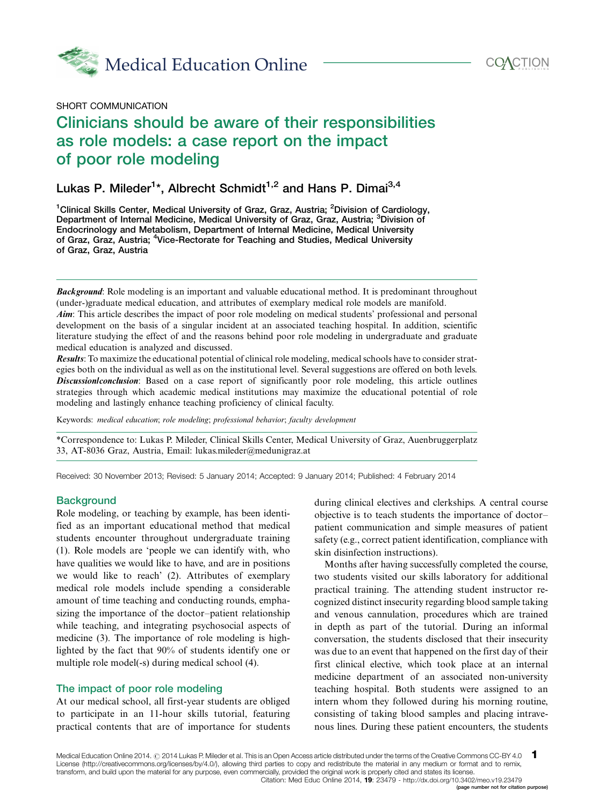

### SHORT COMMUNICATION

# Clinicians should be aware of their responsibilities as role models: a case report on the impact of poor role modeling

## Lukas P. Mileder<sup>1\*</sup>, Albrecht Schmidt<sup>1,2</sup> and Hans P. Dimai<sup>3,4</sup>

<sup>1</sup>Clinical Skills Center, Medical University of Graz, Graz, Austria; <sup>2</sup>Division of Cardiology, Department of Internal Medicine, Medical University of Graz, Graz, Austria; <sup>3</sup>Division of Endocrinology and Metabolism, Department of Internal Medicine, Medical University of Graz, Graz, Austria; <sup>4</sup>Vice-Rectorate for Teaching and Studies, Medical University of Graz, Graz, Austria

**Background:** Role modeling is an important and valuable educational method. It is predominant throughout (under-)graduate medical education, and attributes of exemplary medical role models are manifold.

Aim: This article describes the impact of poor role modeling on medical students' professional and personal development on the basis of a singular incident at an associated teaching hospital. In addition, scientific literature studying the effect of and the reasons behind poor role modeling in undergraduate and graduate medical education is analyzed and discussed.

Results: To maximize the educational potential of clinical role modeling, medical schools have to consider strategies both on the individual as well as on the institutional level. Several suggestions are offered on both levels. **Discussion/conclusion:** Based on a case report of significantly poor role modeling, this article outlines strategies through which academic medical institutions may maximize the educational potential of role modeling and lastingly enhance teaching proficiency of clinical faculty.

Keywords: medical education; role modeling; professional behavior; faculty development

\*Correspondence to: Lukas P. Mileder, Clinical Skills Center, Medical University of Graz, Auenbruggerplatz 33, AT-8036 Graz, Austria, Email: lukas.mileder@medunigraz.at

Received: 30 November 2013; Revised: 5 January 2014; Accepted: 9 January 2014; Published: 4 February 2014

#### **Background**

Role modeling, or teaching by example, has been identified as an important educational method that medical students encounter throughout undergraduate training (1). Role models are 'people we can identify with, who have qualities we would like to have, and are in positions we would like to reach' (2). Attributes of exemplary medical role models include spending a considerable amount of time teaching and conducting rounds, emphasizing the importance of the doctor-patient relationship while teaching, and integrating psychosocial aspects of medicine (3). The importance of role modeling is highlighted by the fact that 90% of students identify one or multiple role model(-s) during medical school (4).

#### The impact of poor role modeling

At our medical school, all first-year students are obliged to participate in an 11-hour skills tutorial, featuring practical contents that are of importance for students during clinical electives and clerkships. A central course objective is to teach students the importance of doctor patient communication and simple measures of patient safety (e.g., correct patient identification, compliance with skin disinfection instructions).

Months after having successfully completed the course, two students visited our skills laboratory for additional practical training. The attending student instructor recognized distinct insecurity regarding blood sample taking and venous cannulation, procedures which are trained in depth as part of the tutorial. During an informal conversation, the students disclosed that their insecurity was due to an event that happened on the first day of their first clinical elective, which took place at an internal medicine department of an associated non-university teaching hospital. Both students were assigned to an intern whom they followed during his morning routine, consisting of taking blood samples and placing intravenous lines. During these patient encounters, the students

**COACTION**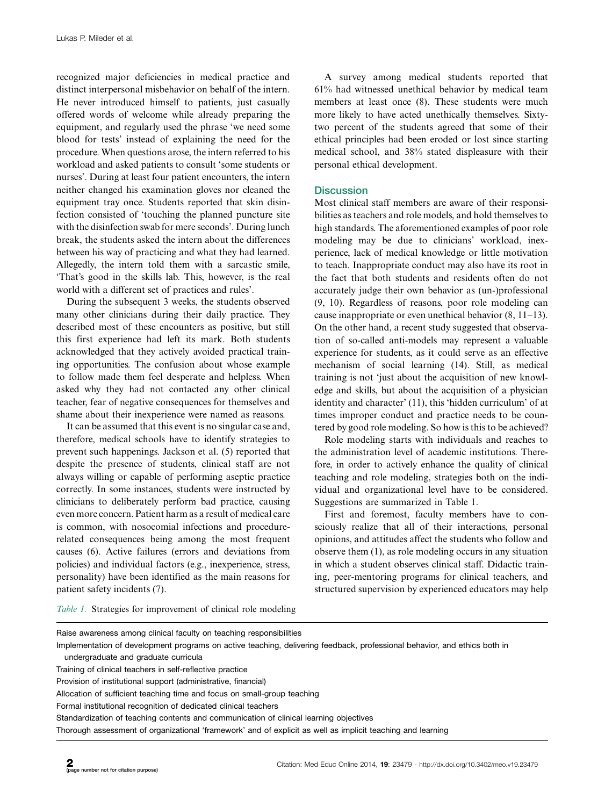recognized major deficiencies in medical practice and distinct interpersonal misbehavior on behalf of the intern. He never introduced himself to patients, just casually offered words of welcome while already preparing the equipment, and regularly used the phrase 'we need some blood for tests' instead of explaining the need for the procedure. When questions arose, the intern referred to his workload and asked patients to consult 'some students or nurses'. During at least four patient encounters, the intern neither changed his examination gloves nor cleaned the equipment tray once. Students reported that skin disinfection consisted of 'touching the planned puncture site with the disinfection swab for mere seconds'. During lunch break, the students asked the intern about the differences between his way of practicing and what they had learned. Allegedly, the intern told them with a sarcastic smile, 'That's good in the skills lab. This, however, is the real world with a different set of practices and rules'.

During the subsequent 3 weeks, the students observed many other clinicians during their daily practice. They described most of these encounters as positive, but still this first experience had left its mark. Both students acknowledged that they actively avoided practical training opportunities. The confusion about whose example to follow made them feel desperate and helpless. When asked why they had not contacted any other clinical teacher, fear of negative consequences for themselves and shame about their inexperience were named as reasons.

It can be assumed that this event is no singular case and, therefore, medical schools have to identify strategies to prevent such happenings. Jackson et al. (5) reported that despite the presence of students, clinical staff are not always willing or capable of performing aseptic practice correctly. In some instances, students were instructed by clinicians to deliberately perform bad practice, causing even more concern. Patient harm as a result of medical care is common, with nosocomial infections and procedurerelated consequences being among the most frequent causes (6). Active failures (errors and deviations from policies) and individual factors (e.g., inexperience, stress, personality) have been identified as the main reasons for patient safety incidents (7).

A survey among medical students reported that 61% had witnessed unethical behavior by medical team members at least once (8). These students were much more likely to have acted unethically themselves. Sixtytwo percent of the students agreed that some of their ethical principles had been eroded or lost since starting medical school, and 38% stated displeasure with their personal ethical development.

#### **Discussion**

Most clinical staff members are aware of their responsibilities as teachers and role models, and hold themselves to high standards. The aforementioned examples of poor role modeling may be due to clinicians' workload, inexperience, lack of medical knowledge or little motivation to teach. Inappropriate conduct may also have its root in the fact that both students and residents often do not accurately judge their own behavior as (un-)professional (9, 10). Regardless of reasons, poor role modeling can cause inappropriate or even unethical behavior (8, 11-13). On the other hand, a recent study suggested that observation of so-called anti-models may represent a valuable experience for students, as it could serve as an effective mechanism of social learning (14). Still, as medical training is not 'just about the acquisition of new knowledge and skills, but about the acquisition of a physician identity and character' (11), this 'hidden curriculum' of at times improper conduct and practice needs to be countered by good role modeling. So how is this to be achieved?

Role modeling starts with individuals and reaches to the administration level of academic institutions. Therefore, in order to actively enhance the quality of clinical teaching and role modeling, strategies both on the individual and organizational level have to be considered. Suggestions are summarized in Table 1.

First and foremost, faculty members have to consciously realize that all of their interactions, personal opinions, and attitudes affect the students who follow and observe them (1), as role modeling occurs in any situation in which a student observes clinical staff. Didactic training, peer-mentoring programs for clinical teachers, and structured supervision by experienced educators may help

Table 1. Strategies for improvement of clinical role modeling

Raise awareness among clinical faculty on teaching responsibilities

Implementation of development programs on active teaching, delivering feedback, professional behavior, and ethics both in

Training of clinical teachers in self-reflective practice

undergraduate and graduate curricula

Provision of institutional support (administrative, financial)

Allocation of sufficient teaching time and focus on small-group teaching

Formal institutional recognition of dedicated clinical teachers

Standardization of teaching contents and communication of clinical learning objectives

Thorough assessment of organizational 'framework' and of explicit as well as implicit teaching and learning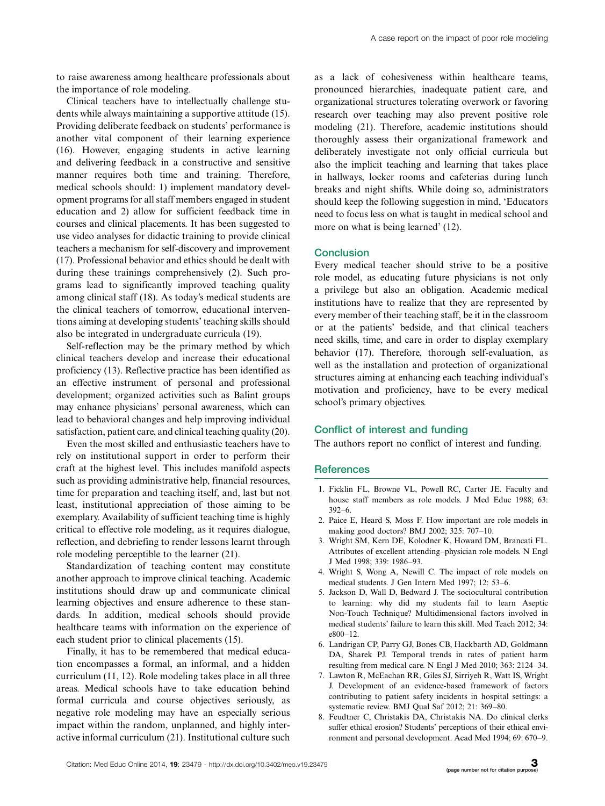to raise awareness among healthcare professionals about the importance of role modeling.

Clinical teachers have to intellectually challenge students while always maintaining a supportive attitude (15). Providing deliberate feedback on students' performance is another vital component of their learning experience (16). However, engaging students in active learning and delivering feedback in a constructive and sensitive manner requires both time and training. Therefore, medical schools should: 1) implement mandatory development programs for all staff members engaged in student education and 2) allow for sufficient feedback time in courses and clinical placements. It has been suggested to use video analyses for didactic training to provide clinical teachers a mechanism for self-discovery and improvement (17). Professional behavior and ethics should be dealt with during these trainings comprehensively (2). Such programs lead to significantly improved teaching quality among clinical staff (18). As today's medical students are the clinical teachers of tomorrow, educational interventions aiming at developing students' teaching skills should also be integrated in undergraduate curricula (19).

Self-reflection may be the primary method by which clinical teachers develop and increase their educational proficiency (13). Reflective practice has been identified as an effective instrument of personal and professional development; organized activities such as Balint groups may enhance physicians' personal awareness, which can lead to behavioral changes and help improving individual satisfaction, patient care, and clinical teaching quality (20).

Even the most skilled and enthusiastic teachers have to rely on institutional support in order to perform their craft at the highest level. This includes manifold aspects such as providing administrative help, financial resources, time for preparation and teaching itself, and, last but not least, institutional appreciation of those aiming to be exemplary. Availability of sufficient teaching time is highly critical to effective role modeling, as it requires dialogue, reflection, and debriefing to render lessons learnt through role modeling perceptible to the learner (21).

Standardization of teaching content may constitute another approach to improve clinical teaching. Academic institutions should draw up and communicate clinical learning objectives and ensure adherence to these standards. In addition, medical schools should provide healthcare teams with information on the experience of each student prior to clinical placements (15).

Finally, it has to be remembered that medical education encompasses a formal, an informal, and a hidden curriculum (11, 12). Role modeling takes place in all three areas. Medical schools have to take education behind formal curricula and course objectives seriously, as negative role modeling may have an especially serious impact within the random, unplanned, and highly interactive informal curriculum (21). Institutional culture such

as a lack of cohesiveness within healthcare teams, pronounced hierarchies, inadequate patient care, and organizational structures tolerating overwork or favoring research over teaching may also prevent positive role modeling (21). Therefore, academic institutions should thoroughly assess their organizational framework and deliberately investigate not only official curricula but also the implicit teaching and learning that takes place in hallways, locker rooms and cafeterias during lunch breaks and night shifts. While doing so, administrators should keep the following suggestion in mind, 'Educators need to focus less on what is taught in medical school and more on what is being learned' (12).

#### **Conclusion**

Every medical teacher should strive to be a positive role model, as educating future physicians is not only a privilege but also an obligation. Academic medical institutions have to realize that they are represented by every member of their teaching staff, be it in the classroom or at the patients' bedside, and that clinical teachers need skills, time, and care in order to display exemplary behavior (17). Therefore, thorough self-evaluation, as well as the installation and protection of organizational structures aiming at enhancing each teaching individual's motivation and proficiency, have to be every medical school's primary objectives.

#### Conflict of interest and funding

The authors report no conflict of interest and funding.

#### **References**

- 1. Ficklin FL, Browne VL, Powell RC, Carter JE. Faculty and house staff members as role models. J Med Educ 1988; 63: 392-6.
- 2. Paice E, Heard S, Moss F. How important are role models in making good doctors? BMJ 2002; 325: 707-10.
- 3. Wright SM, Kern DE, Kolodner K, Howard DM, Brancati FL. Attributes of excellent attending-physician role models. N Engl J Med 1998; 339: 1986-93.
- 4. Wright S, Wong A, Newill C. The impact of role models on medical students. J Gen Intern Med 1997; 12: 53-6.
- 5. Jackson D, Wall D, Bedward J. The sociocultural contribution to learning: why did my students fail to learn Aseptic Non-Touch Technique? Multidimensional factors involved in medical students' failure to learn this skill. Med Teach 2012; 34: e800-12.
- 6. Landrigan CP, Parry GJ, Bones CB, Hackbarth AD, Goldmann DA, Sharek PJ. Temporal trends in rates of patient harm resulting from medical care. N Engl J Med 2010; 363: 2124-34.
- 7. Lawton R, McEachan RR, Giles SJ, Sirriyeh R, Watt IS, Wright J. Development of an evidence-based framework of factors contributing to patient safety incidents in hospital settings: a systematic review. BMJ Qual Saf 2012; 21: 369-80.
- 8. Feudtner C, Christakis DA, Christakis NA. Do clinical clerks suffer ethical erosion? Students' perceptions of their ethical environment and personal development. Acad Med 1994; 69: 670-9.